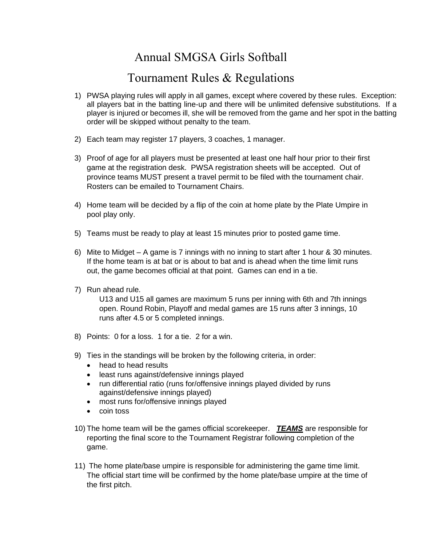## Annual SMGSA Girls Softball

## Tournament Rules & Regulations

- 1) PWSA playing rules will apply in all games, except where covered by these rules. Exception: all players bat in the batting line-up and there will be unlimited defensive substitutions. If a player is injured or becomes ill, she will be removed from the game and her spot in the batting order will be skipped without penalty to the team.
- 2) Each team may register 17 players, 3 coaches, 1 manager.
- 3) Proof of age for all players must be presented at least one half hour prior to their first game at the registration desk. PWSA registration sheets will be accepted. Out of province teams MUST present a travel permit to be filed with the tournament chair. Rosters can be emailed to Tournament Chairs.
- 4) Home team will be decided by a flip of the coin at home plate by the Plate Umpire in pool play only.
- 5) Teams must be ready to play at least 15 minutes prior to posted game time.
- 6) Mite to Midget A game is 7 innings with no inning to start after 1 hour & 30 minutes. If the home team is at bat or is about to bat and is ahead when the time limit runs out, the game becomes official at that point. Games can end in a tie.
- 7) Run ahead rule.

U13 and U15 all games are maximum 5 runs per inning with 6th and 7th innings open. Round Robin, Playoff and medal games are 15 runs after 3 innings, 10 runs after 4.5 or 5 completed innings.

- 8) Points: 0 for a loss. 1 for a tie. 2 for a win.
- 9) Ties in the standings will be broken by the following criteria, in order:
	- head to head results
	- least runs against/defensive innings played
	- run differential ratio (runs for/offensive innings played divided by runs against/defensive innings played)
	- most runs for/offensive innings played
	- coin toss
- 10) The home team will be the games official scorekeeper. *TEAMS* are responsible for reporting the final score to the Tournament Registrar following completion of the game.
- 11) The home plate/base umpire is responsible for administering the game time limit. The official start time will be confirmed by the home plate/base umpire at the time of the first pitch.